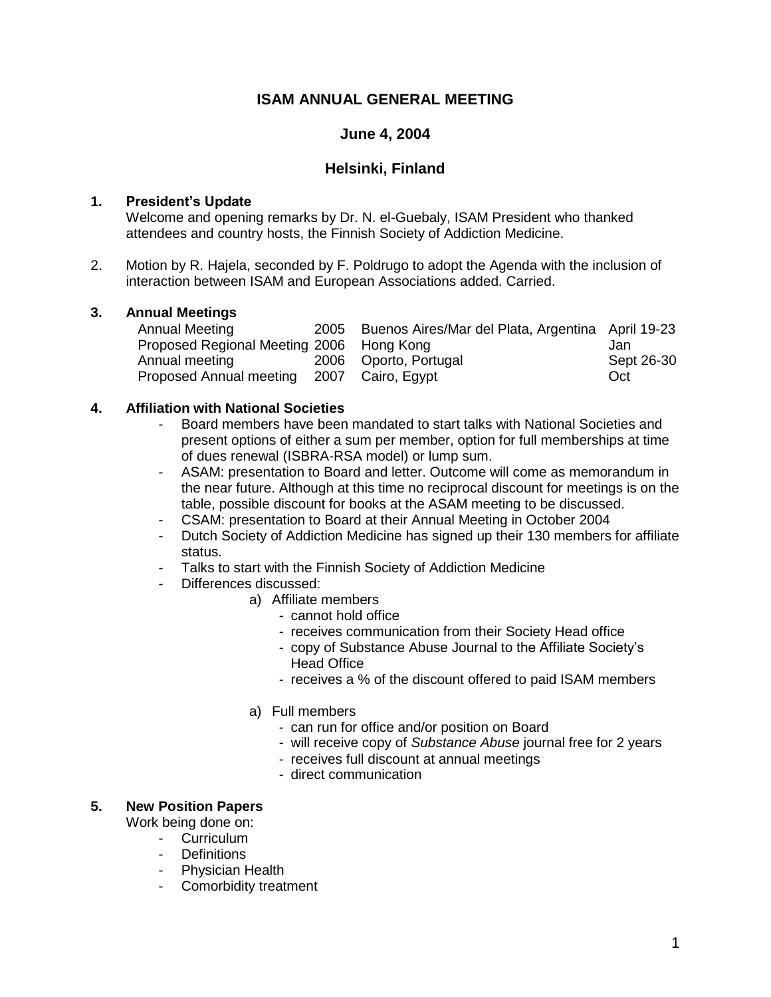# **ISAM ANNUAL GENERAL MEETING**

## **June 4, 2004**

## **Helsinki, Finland**

### **1. President's Update**

Welcome and opening remarks by Dr. N. el-Guebaly, ISAM President who thanked attendees and country hosts, the Finnish Society of Addiction Medicine.

2. Motion by R. Hajela, seconded by F. Poldrugo to adopt the Agenda with the inclusion of interaction between ISAM and European Associations added. Carried.

## **3. Annual Meetings**

|  | Jan                                                                                                                                              |
|--|--------------------------------------------------------------------------------------------------------------------------------------------------|
|  | Sept 26-30                                                                                                                                       |
|  | Oct                                                                                                                                              |
|  | 2005 Buenos Aires/Mar del Plata, Argentina April 19-23<br>Proposed Regional Meeting 2006 Hong Kong<br>2006 Oporto, Portugal<br>2007 Cairo, Egypt |

## **4. Affiliation with National Societies**

- Board members have been mandated to start talks with National Societies and present options of either a sum per member, option for full memberships at time of dues renewal (ISBRA-RSA model) or lump sum.
- ASAM: presentation to Board and letter. Outcome will come as memorandum in the near future. Although at this time no reciprocal discount for meetings is on the table, possible discount for books at the ASAM meeting to be discussed.
- CSAM: presentation to Board at their Annual Meeting in October 2004
- Dutch Society of Addiction Medicine has signed up their 130 members for affiliate status.
- Talks to start with the Finnish Society of Addiction Medicine
- Differences discussed:
	- a) Affiliate members
		- cannot hold office
		- receives communication from their Society Head office
		- copy of Substance Abuse Journal to the Affiliate Society's Head Office
		- receives a % of the discount offered to paid ISAM members
	- a) Full members
		- can run for office and/or position on Board
		- will receive copy of *Substance Abuse* journal free for 2 years
		- receives full discount at annual meetings
		- direct communication

### **5. New Position Papers**

Work being done on:

- Curriculum
- Definitions
- Physician Health
- Comorbidity treatment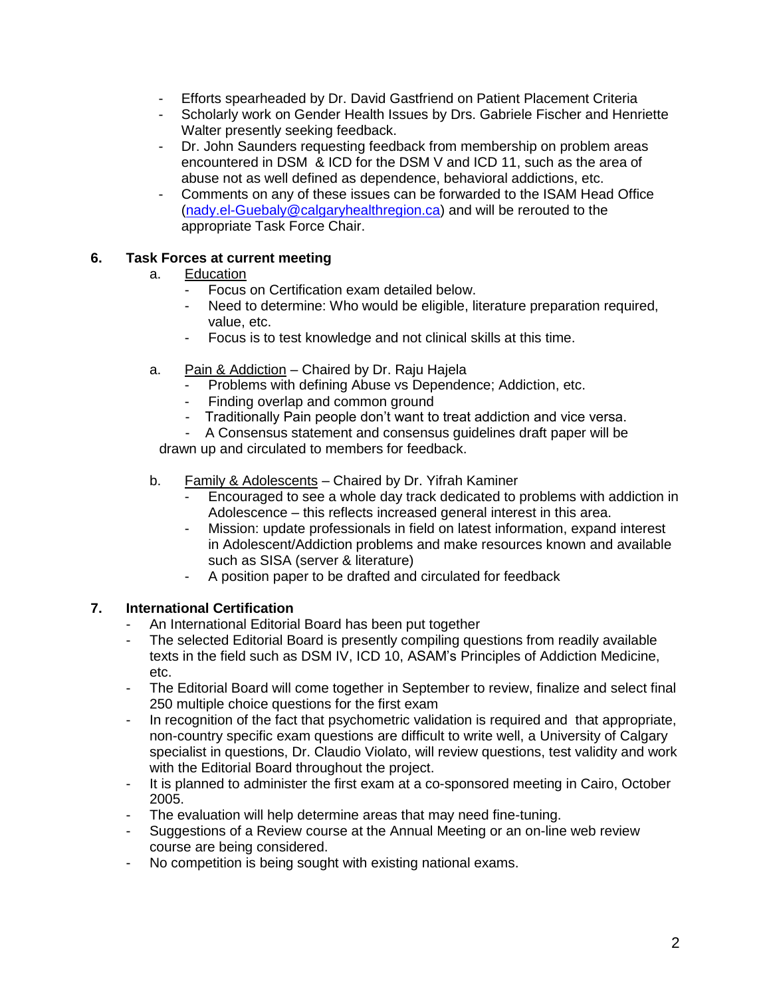- Efforts spearheaded by Dr. David Gastfriend on Patient Placement Criteria
- Scholarly work on Gender Health Issues by Drs. Gabriele Fischer and Henriette Walter presently seeking feedback.
- Dr. John Saunders requesting feedback from membership on problem areas encountered in DSM & ICD for the DSM V and ICD 11, such as the area of abuse not as well defined as dependence, behavioral addictions, etc.
- Comments on any of these issues can be forwarded to the ISAM Head Office [\(nady.el-Guebaly@calgaryhealthregion.ca\)](mailto:nady.el-Guebaly@calgaryhealthregion.ca) and will be rerouted to the appropriate Task Force Chair.

## **6. Task Forces at current meeting**

- a. Education
	- Focus on Certification exam detailed below.
	- Need to determine: Who would be eligible, literature preparation required, value, etc.
	- Focus is to test knowledge and not clinical skills at this time.
- a. Pain & Addiction Chaired by Dr. Raju Hajela
	- Problems with defining Abuse vs Dependence; Addiction, etc.
	- Finding overlap and common ground
	- Traditionally Pain people don't want to treat addiction and vice versa.

A Consensus statement and consensus guidelines draft paper will be drawn up and circulated to members for feedback.

- b. Family & Adolescents Chaired by Dr. Yifrah Kaminer
	- Encouraged to see a whole day track dedicated to problems with addiction in Adolescence – this reflects increased general interest in this area.
	- Mission: update professionals in field on latest information, expand interest in Adolescent/Addiction problems and make resources known and available such as SISA (server & literature)
	- A position paper to be drafted and circulated for feedback

# **7. International Certification**

- An International Editorial Board has been put together
- The selected Editorial Board is presently compiling questions from readily available texts in the field such as DSM IV, ICD 10, ASAM's Principles of Addiction Medicine, etc.
- The Editorial Board will come together in September to review, finalize and select final 250 multiple choice questions for the first exam
- In recognition of the fact that psychometric validation is required and that appropriate, non-country specific exam questions are difficult to write well, a University of Calgary specialist in questions, Dr. Claudio Violato, will review questions, test validity and work with the Editorial Board throughout the project.
- It is planned to administer the first exam at a co-sponsored meeting in Cairo, October 2005.
- The evaluation will help determine areas that may need fine-tuning.
- Suggestions of a Review course at the Annual Meeting or an on-line web review course are being considered.
- No competition is being sought with existing national exams.